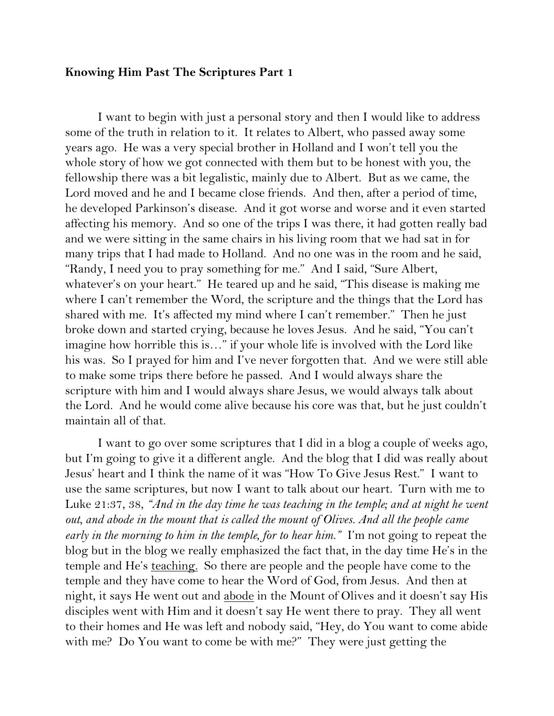## **Knowing Him Past The Scriptures Part 1**

I want to begin with just a personal story and then I would like to address some of the truth in relation to it. It relates to Albert, who passed away some years ago. He was a very special brother in Holland and I won't tell you the whole story of how we got connected with them but to be honest with you, the fellowship there was a bit legalistic, mainly due to Albert. But as we came, the Lord moved and he and I became close friends. And then, after a period of time, he developed Parkinson's disease. And it got worse and worse and it even started affecting his memory. And so one of the trips I was there, it had gotten really bad and we were sitting in the same chairs in his living room that we had sat in for many trips that I had made to Holland. And no one was in the room and he said, "Randy, I need you to pray something for me." And I said, "Sure Albert, whatever's on your heart." He teared up and he said, "This disease is making me where I can't remember the Word, the scripture and the things that the Lord has shared with me. It's affected my mind where I can't remember." Then he just broke down and started crying, because he loves Jesus. And he said, "You can't imagine how horrible this is…" if your whole life is involved with the Lord like his was. So I prayed for him and I've never forgotten that. And we were still able to make some trips there before he passed. And I would always share the scripture with him and I would always share Jesus, we would always talk about the Lord. And he would come alive because his core was that, but he just couldn't maintain all of that.

I want to go over some scriptures that I did in a blog a couple of weeks ago, but I'm going to give it a different angle. And the blog that I did was really about Jesus' heart and I think the name of it was "How To Give Jesus Rest." I want to use the same scriptures, but now I want to talk about our heart. Turn with me to Luke 21:37, 38, *"And in the day time he was teaching in the temple; and at night he went out, and abode in the mount that is called the mount of Olives. And all the people came early in the morning to him in the temple, for to hear him."* I'm not going to repeat the blog but in the blog we really emphasized the fact that, in the day time He's in the temple and He's teaching. So there are people and the people have come to the temple and they have come to hear the Word of God, from Jesus. And then at night, it says He went out and abode in the Mount of Olives and it doesn't say His disciples went with Him and it doesn't say He went there to pray. They all went to their homes and He was left and nobody said, "Hey, do You want to come abide with me? Do You want to come be with me?" They were just getting the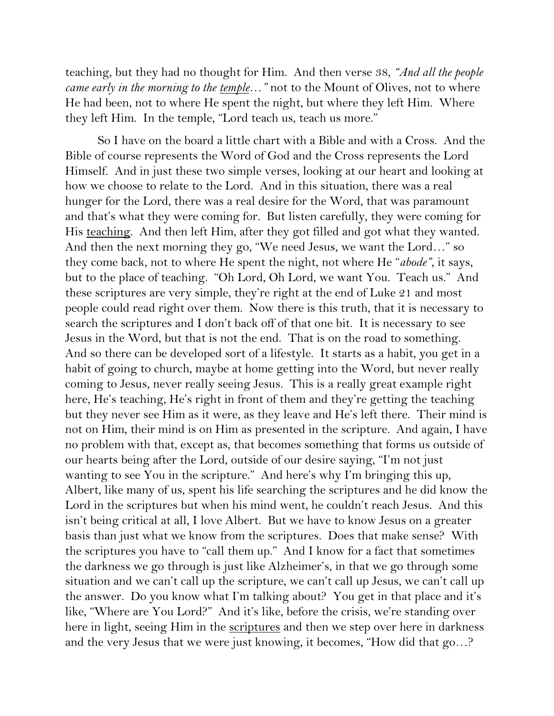teaching, but they had no thought for Him. And then verse 38, *"And all the people came early in the morning to the temple…"* not to the Mount of Olives, not to where He had been, not to where He spent the night, but where they left Him. Where they left Him. In the temple, "Lord teach us, teach us more."

So I have on the board a little chart with a Bible and with a Cross. And the Bible of course represents the Word of God and the Cross represents the Lord Himself. And in just these two simple verses, looking at our heart and looking at how we choose to relate to the Lord. And in this situation, there was a real hunger for the Lord, there was a real desire for the Word, that was paramount and that's what they were coming for. But listen carefully, they were coming for His teaching. And then left Him, after they got filled and got what they wanted. And then the next morning they go, "We need Jesus, we want the Lord…" so they come back, not to where He spent the night, not where He "*abode"*, it says, but to the place of teaching. "Oh Lord, Oh Lord, we want You. Teach us." And these scriptures are very simple, they're right at the end of Luke 21 and most people could read right over them. Now there is this truth, that it is necessary to search the scriptures and I don't back off of that one bit. It is necessary to see Jesus in the Word, but that is not the end. That is on the road to something. And so there can be developed sort of a lifestyle. It starts as a habit, you get in a habit of going to church, maybe at home getting into the Word, but never really coming to Jesus, never really seeing Jesus. This is a really great example right here, He's teaching, He's right in front of them and they're getting the teaching but they never see Him as it were, as they leave and He's left there. Their mind is not on Him, their mind is on Him as presented in the scripture. And again, I have no problem with that, except as, that becomes something that forms us outside of our hearts being after the Lord, outside of our desire saying, "I'm not just wanting to see You in the scripture." And here's why I'm bringing this up, Albert, like many of us, spent his life searching the scriptures and he did know the Lord in the scriptures but when his mind went, he couldn't reach Jesus. And this isn't being critical at all, I love Albert. But we have to know Jesus on a greater basis than just what we know from the scriptures. Does that make sense? With the scriptures you have to "call them up." And I know for a fact that sometimes the darkness we go through is just like Alzheimer's, in that we go through some situation and we can't call up the scripture, we can't call up Jesus, we can't call up the answer. Do you know what I'm talking about? You get in that place and it's like, "Where are You Lord?" And it's like, before the crisis, we're standing over here in light, seeing Him in the <u>scriptures</u> and then we step over here in darkness and the very Jesus that we were just knowing, it becomes, "How did that go…?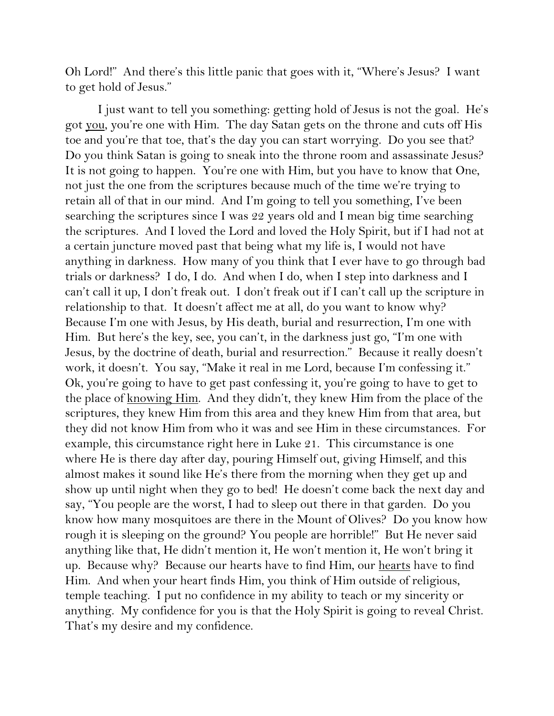Oh Lord!" And there's this little panic that goes with it, "Where's Jesus? I want to get hold of Jesus."

I just want to tell you something: getting hold of Jesus is not the goal. He's got you, you're one with Him. The day Satan gets on the throne and cuts off His toe and you're that toe, that's the day you can start worrying. Do you see that? Do you think Satan is going to sneak into the throne room and assassinate Jesus? It is not going to happen. You're one with Him, but you have to know that One, not just the one from the scriptures because much of the time we're trying to retain all of that in our mind. And I'm going to tell you something, I've been searching the scriptures since I was 22 years old and I mean big time searching the scriptures. And I loved the Lord and loved the Holy Spirit, but if I had not at a certain juncture moved past that being what my life is, I would not have anything in darkness. How many of you think that I ever have to go through bad trials or darkness? I do, I do. And when I do, when I step into darkness and I can't call it up, I don't freak out. I don't freak out if I can't call up the scripture in relationship to that. It doesn't affect me at all, do you want to know why? Because I'm one with Jesus, by His death, burial and resurrection, I'm one with Him. But here's the key, see, you can't, in the darkness just go, "I'm one with Jesus, by the doctrine of death, burial and resurrection." Because it really doesn't work, it doesn't. You say, "Make it real in me Lord, because I'm confessing it." Ok, you're going to have to get past confessing it, you're going to have to get to the place of knowing Him. And they didn't, they knew Him from the place of the scriptures, they knew Him from this area and they knew Him from that area, but they did not know Him from who it was and see Him in these circumstances. For example, this circumstance right here in Luke 21. This circumstance is one where He is there day after day, pouring Himself out, giving Himself, and this almost makes it sound like He's there from the morning when they get up and show up until night when they go to bed! He doesn't come back the next day and say, "You people are the worst, I had to sleep out there in that garden. Do you know how many mosquitoes are there in the Mount of Olives? Do you know how rough it is sleeping on the ground? You people are horrible!" But He never said anything like that, He didn't mention it, He won't mention it, He won't bring it up. Because why? Because our hearts have to find Him, our hearts have to find Him. And when your heart finds Him, you think of Him outside of religious, temple teaching. I put no confidence in my ability to teach or my sincerity or anything. My confidence for you is that the Holy Spirit is going to reveal Christ. That's my desire and my confidence.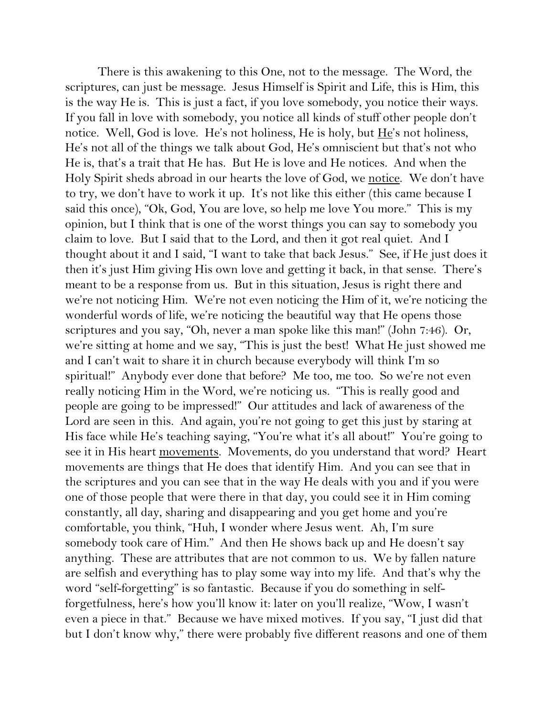There is this awakening to this One, not to the message. The Word, the scriptures, can just be message. Jesus Himself is Spirit and Life, this is Him, this is the way He is. This is just a fact, if you love somebody, you notice their ways. If you fall in love with somebody, you notice all kinds of stuff other people don't notice. Well, God is love. He's not holiness, He is holy, but  $He$ 's not holiness, He's not all of the things we talk about God, He's omniscient but that's not who He is, that's a trait that He has. But He is love and He notices. And when the Holy Spirit sheds abroad in our hearts the love of God, we notice. We don't have to try, we don't have to work it up. It's not like this either (this came because I said this once), "Ok, God, You are love, so help me love You more." This is my opinion, but I think that is one of the worst things you can say to somebody you claim to love. But I said that to the Lord, and then it got real quiet. And I thought about it and I said, "I want to take that back Jesus." See, if He just does it then it's just Him giving His own love and getting it back, in that sense. There's meant to be a response from us. But in this situation, Jesus is right there and we're not noticing Him. We're not even noticing the Him of it, we're noticing the wonderful words of life, we're noticing the beautiful way that He opens those scriptures and you say, "Oh, never a man spoke like this man!" (John 7:46). Or, we're sitting at home and we say, "This is just the best! What He just showed me and I can't wait to share it in church because everybody will think I'm so spiritual!" Anybody ever done that before? Me too, me too. So we're not even really noticing Him in the Word, we're noticing us. "This is really good and people are going to be impressed!" Our attitudes and lack of awareness of the Lord are seen in this. And again, you're not going to get this just by staring at His face while He's teaching saying, "You're what it's all about!" You're going to see it in His heart movements. Movements, do you understand that word? Heart movements are things that He does that identify Him. And you can see that in the scriptures and you can see that in the way He deals with you and if you were one of those people that were there in that day, you could see it in Him coming constantly, all day, sharing and disappearing and you get home and you're comfortable, you think, "Huh, I wonder where Jesus went. Ah, I'm sure somebody took care of Him." And then He shows back up and He doesn't say anything. These are attributes that are not common to us. We by fallen nature are selfish and everything has to play some way into my life. And that's why the word "self-forgetting" is so fantastic. Because if you do something in selfforgetfulness, here's how you'll know it: later on you'll realize, "Wow, I wasn't even a piece in that." Because we have mixed motives. If you say, "I just did that but I don't know why," there were probably five different reasons and one of them